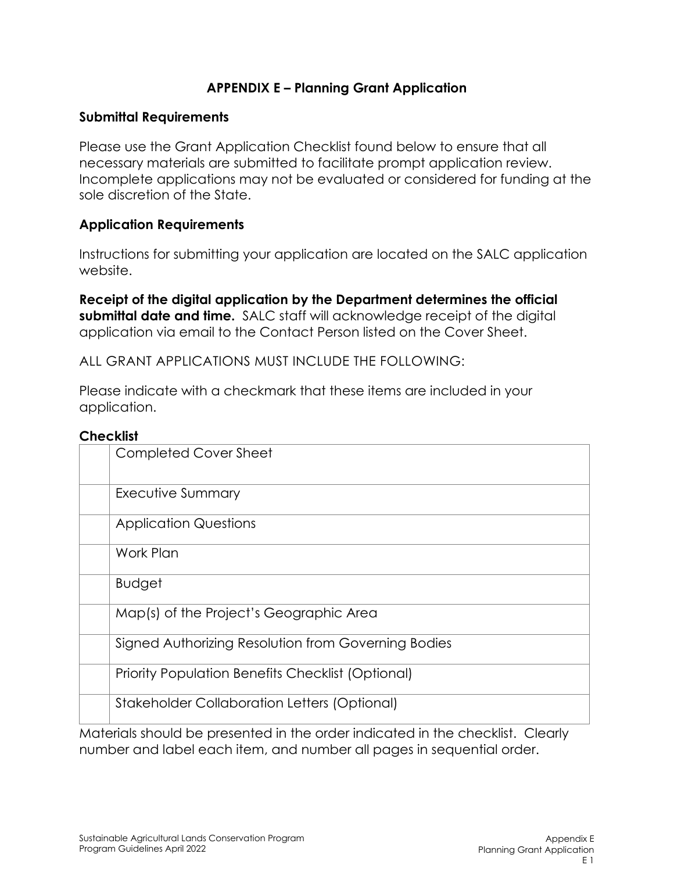## **APPENDIX E – Planning Grant Application**

#### **Submittal Requirements**

Please use the Grant Application Checklist found below to ensure that all necessary materials are submitted to facilitate prompt application review. Incomplete applications may not be evaluated or considered for funding at the sole discretion of the State.

### **Application Requirements**

Instructions for submitting your application are located on the SALC application websit[e.](mailto:salcp@conservation.ca.gov)

**Receipt of the digital application by the Department determines the official submittal date and time.** SALC staff will acknowledge receipt of the digital application via email to the Contact Person listed on the Cover Sheet.

ALL GRANT APPLICATIONS MUST INCLUDE THE FOLLOWING:

Please indicate with a checkmark that these items are included in your application.

#### **Checklist**

| ᄓᇭᇰᇰᇅᇅ                                                   |  |  |  |  |  |
|----------------------------------------------------------|--|--|--|--|--|
| Completed Cover Sheet                                    |  |  |  |  |  |
| Executive Summary                                        |  |  |  |  |  |
| <b>Application Questions</b>                             |  |  |  |  |  |
| Work Plan                                                |  |  |  |  |  |
| <b>Budget</b>                                            |  |  |  |  |  |
| Map(s) of the Project's Geographic Area                  |  |  |  |  |  |
| Signed Authorizing Resolution from Governing Bodies      |  |  |  |  |  |
| <b>Priority Population Benefits Checklist (Optional)</b> |  |  |  |  |  |
| <b>Stakeholder Collaboration Letters (Optional)</b>      |  |  |  |  |  |
|                                                          |  |  |  |  |  |

Materials should be presented in the order indicated in the checklist. Clearly number and label each item, and number all pages in sequential order.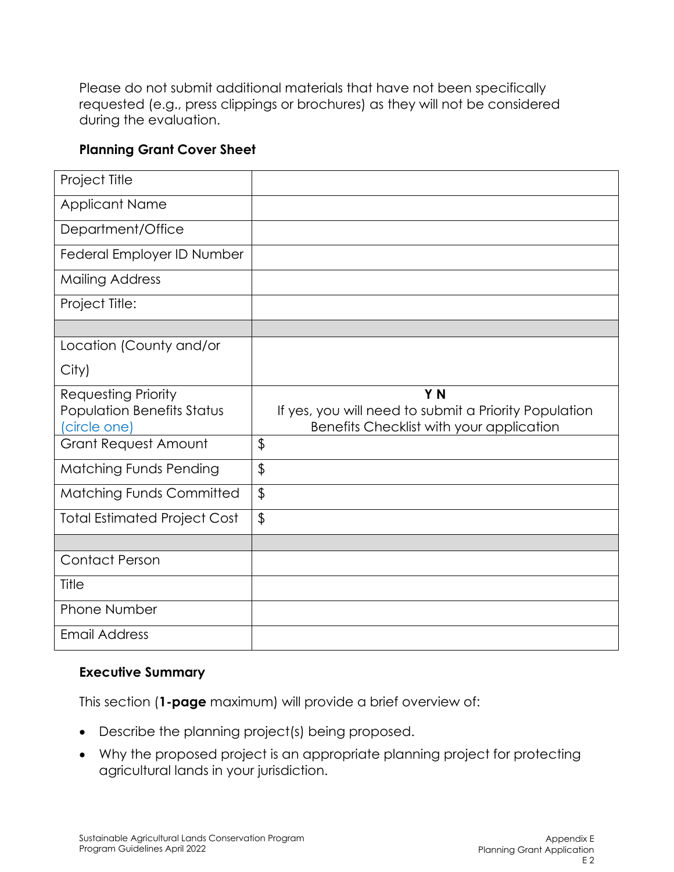Please do not submit additional materials that have not been specifically requested (e.g., press clippings or brochures) as they will not be considered during the evaluation.

## **Planning Grant Cover Sheet**

| Project Title                       |                                                       |
|-------------------------------------|-------------------------------------------------------|
| <b>Applicant Name</b>               |                                                       |
| Department/Office                   |                                                       |
| Federal Employer ID Number          |                                                       |
| <b>Mailing Address</b>              |                                                       |
| Project Title:                      |                                                       |
|                                     |                                                       |
| Location (County and/or             |                                                       |
| City)                               |                                                       |
| <b>Requesting Priority</b>          | Y N                                                   |
| <b>Population Benefits Status</b>   | If yes, you will need to submit a Priority Population |
|                                     |                                                       |
| (circle one)                        | Benefits Checklist with your application              |
| <b>Grant Request Amount</b>         | $\frac{1}{2}$                                         |
| <b>Matching Funds Pending</b>       | $\frac{1}{2}$                                         |
| <b>Matching Funds Committed</b>     | $\boldsymbol{\theta}$                                 |
| <b>Total Estimated Project Cost</b> | $\boldsymbol{\theta}$                                 |
|                                     |                                                       |
| <b>Contact Person</b>               |                                                       |
| Title                               |                                                       |
| <b>Phone Number</b>                 |                                                       |

### **Executive Summary**

This section (**1-page** maximum) will provide a brief overview of:

- Describe the planning project(s) being proposed.
- Why the proposed project is an appropriate planning project for protecting agricultural lands in your jurisdiction.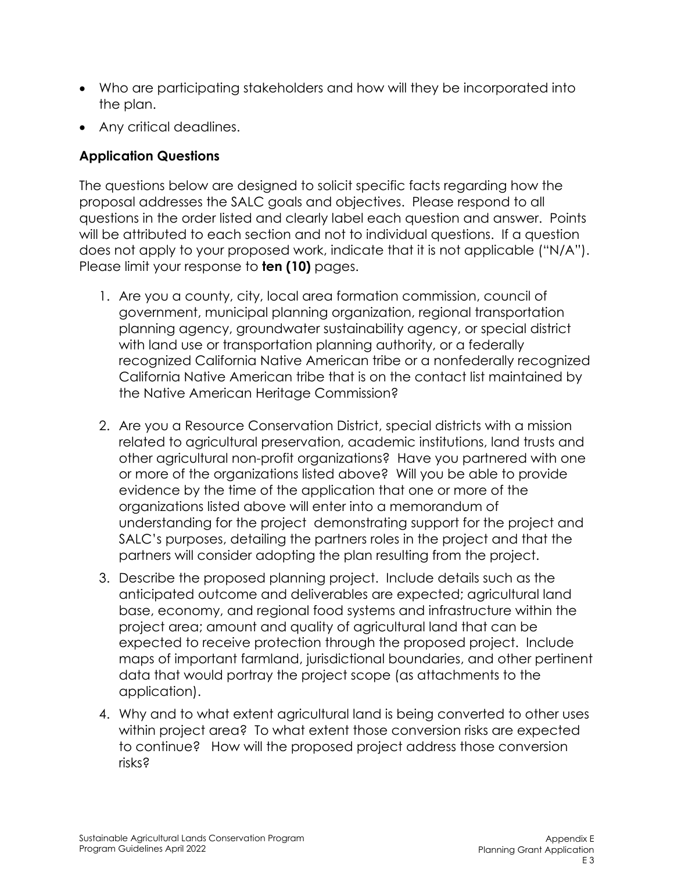- Who are participating stakeholders and how will they be incorporated into the plan.
- Any critical deadlines.

# **Application Questions**

The questions below are designed to solicit specific facts regarding how the proposal addresses the SALC goals and objectives. Please respond to all questions in the order listed and clearly label each question and answer. Points will be attributed to each section and not to individual questions. If a question does not apply to your proposed work, indicate that it is not applicable ("N/A"). Please limit your response to **ten (10)** pages.

- 1. Are you a county, city, local area formation commission, council of government, municipal planning organization, regional transportation planning agency, groundwater sustainability agency, or special district with land use or transportation planning authority, or a federally recognized California Native American tribe or a nonfederally recognized California Native American tribe that is on the contact list maintained by the Native American Heritage Commission?
- 2. Are you a Resource Conservation District, special districts with a mission related to agricultural preservation, academic institutions, land trusts and other agricultural non-profit organizations? Have you partnered with one or more of the organizations listed above? Will you be able to provide evidence by the time of the application that one or more of the organizations listed above will enter into a memorandum of understanding for the project demonstrating support for the project and SALC's purposes, detailing the partners roles in the project and that the partners will consider adopting the plan resulting from the project.
- 3. Describe the proposed planning project. Include details such as the anticipated outcome and deliverables are expected; agricultural land base, economy, and regional food systems and infrastructure within the project area; amount and quality of agricultural land that can be expected to receive protection through the proposed project. Include maps of important farmland, jurisdictional boundaries, and other pertinent data that would portray the project scope (as attachments to the application).
- 4. Why and to what extent agricultural land is being converted to other uses within project area? To what extent those conversion risks are expected to continue? How will the proposed project address those conversion risks?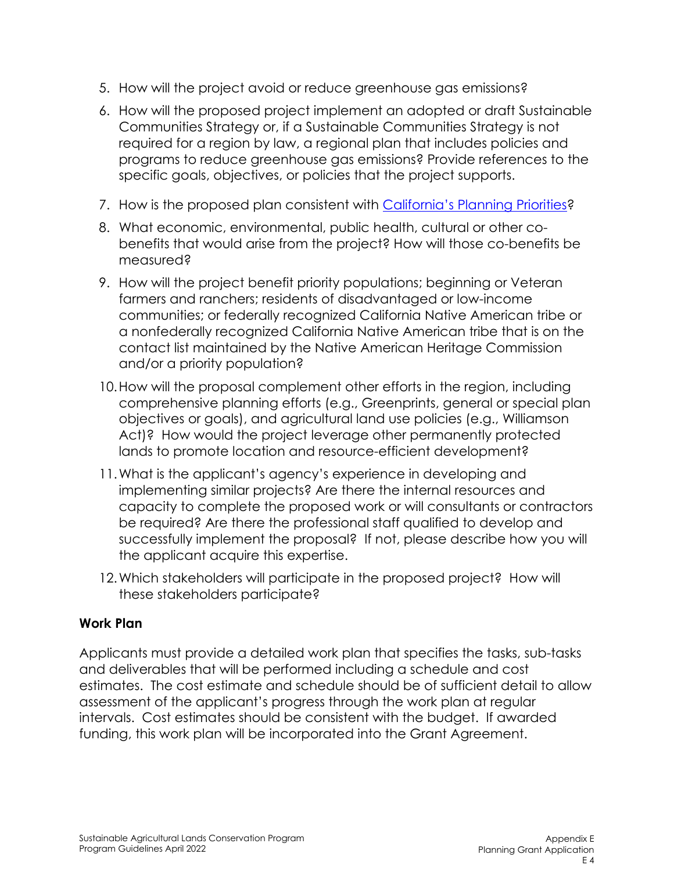- 5. How will the project avoid or reduce greenhouse gas emissions?
- 6. How will the proposed project implement an adopted or draft Sustainable Communities Strategy or, if a Sustainable Communities Strategy is not required for a region by law, a regional plan that includes policies and programs to reduce greenhouse gas emissions? Provide references to the specific goals, objectives, or policies that the project supports.
- 7. How is the proposed plan consistent with [California's Planning Priorities?](https://leginfo.legislature.ca.gov/faces/codes_displaySection.xhtml?lawCode=GOV§ionNum=65041.1)
- 8. What economic, environmental, public health, cultural or other cobenefits that would arise from the project? How will those co-benefits be measured?
- 9. How will the project benefit priority populations; beginning or Veteran farmers and ranchers; residents of disadvantaged or low-income communities; or federally recognized California Native American tribe or a nonfederally recognized California Native American tribe that is on the contact list maintained by the Native American Heritage Commission and/or a priority population?
- 10.How will the proposal complement other efforts in the region, including comprehensive planning efforts (e.g., Greenprints, general or special plan objectives or goals), and agricultural land use policies (e.g., Williamson Act)? How would the project leverage other permanently protected lands to promote location and resource-efficient development?
- 11.What is the applicant's agency's experience in developing and implementing similar projects? Are there the internal resources and capacity to complete the proposed work or will consultants or contractors be required? Are there the professional staff qualified to develop and successfully implement the proposal? If not, please describe how you will the applicant acquire this expertise.
- 12.Which stakeholders will participate in the proposed project? How will these stakeholders participate?

# **Work Plan**

Applicants must provide a detailed work plan that specifies the tasks, sub-tasks and deliverables that will be performed including a schedule and cost estimates. The cost estimate and schedule should be of sufficient detail to allow assessment of the applicant's progress through the work plan at regular intervals. Cost estimates should be consistent with the budget. If awarded funding, this work plan will be incorporated into the Grant Agreement.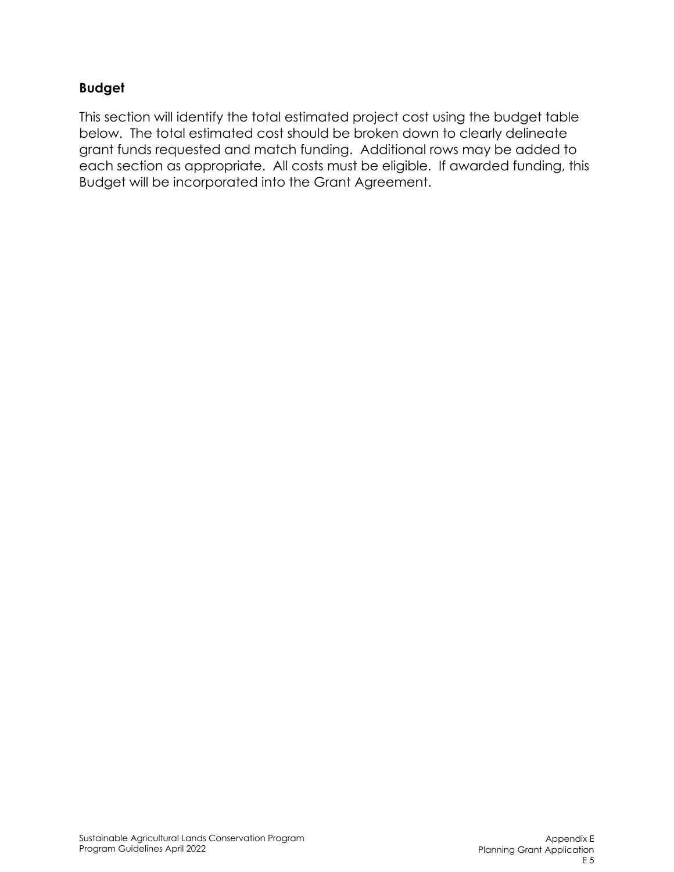# **Budget**

This section will identify the total estimated project cost using the budget table below. The total estimated cost should be broken down to clearly delineate grant funds requested and match funding. Additional rows may be added to each section as appropriate. All costs must be eligible. If awarded funding, this Budget will be incorporated into the Grant Agreement.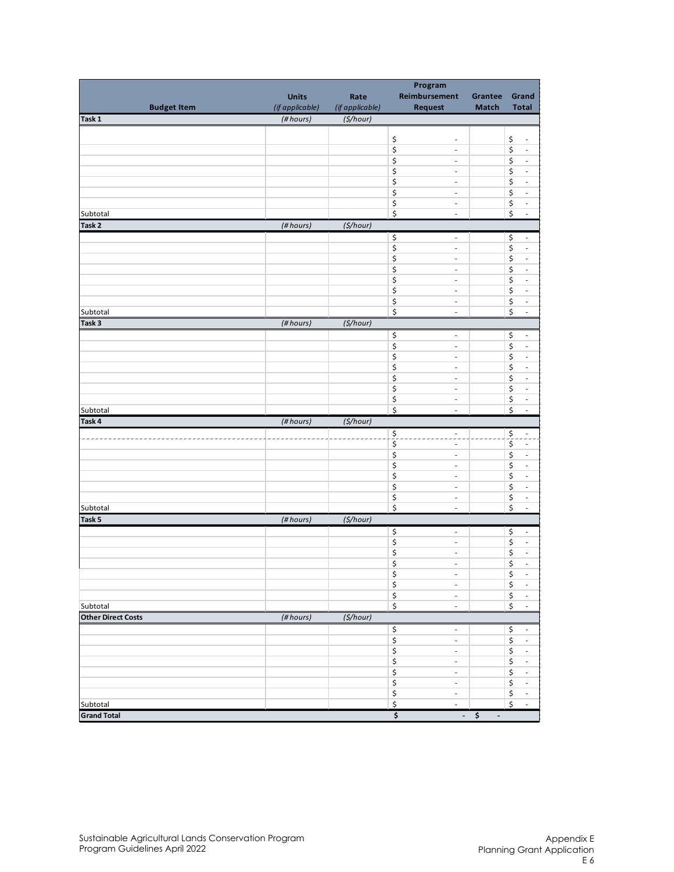|                                               |                 | Program         |                                      |                                    |                                                                 |  |  |
|-----------------------------------------------|-----------------|-----------------|--------------------------------------|------------------------------------|-----------------------------------------------------------------|--|--|
|                                               | <b>Units</b>    | Rate            | Reimbursement                        | Grantee                            | Grand                                                           |  |  |
| <b>Budget Item</b>                            | (if applicable) | (if applicable) | <b>Request</b>                       | <b>Match</b>                       | <b>Total</b>                                                    |  |  |
| Task 1                                        | (#hours)        | $($ \$/hour)    |                                      |                                    |                                                                 |  |  |
|                                               |                 |                 |                                      |                                    |                                                                 |  |  |
|                                               |                 |                 | \$<br>$\overline{\phantom{a}}$       |                                    | \$<br>$\overline{\phantom{a}}$                                  |  |  |
|                                               |                 |                 | \$<br>$\overline{\phantom{a}}$       |                                    | $\boldsymbol{\mathsf{S}}$<br>$\overline{\phantom{a}}$           |  |  |
|                                               |                 |                 | \$<br>$\overline{\phantom{a}}$       |                                    | \$<br>$\bar{\phantom{a}}$                                       |  |  |
|                                               |                 |                 | \$<br>$\overline{\phantom{a}}$       |                                    | $\boldsymbol{\zeta}$<br>$\Box$                                  |  |  |
|                                               |                 |                 | \$<br>$\overline{\phantom{a}}$       |                                    | $\boldsymbol{\zeta}$<br>$\overline{\phantom{a}}$                |  |  |
|                                               |                 |                 | \$<br>$\overline{\phantom{a}}$       |                                    | $\boldsymbol{\zeta}$<br>÷,                                      |  |  |
|                                               |                 |                 | \$<br>$\overline{\phantom{a}}$       |                                    | \$<br>$\overline{\phantom{a}}$                                  |  |  |
| Subtotal                                      |                 |                 | \$<br>÷,                             |                                    | \$<br>$\Box$                                                    |  |  |
| Task <sub>2</sub><br>$($ \$/hour)<br>(#hours) |                 |                 |                                      |                                    |                                                                 |  |  |
|                                               |                 |                 | \$<br>$\blacksquare$                 |                                    | \$<br>$\blacksquare$                                            |  |  |
|                                               |                 |                 | \$<br>$\overline{\phantom{a}}$       |                                    | \$<br>$\overline{\phantom{a}}$                                  |  |  |
|                                               |                 |                 | \$<br>$\overline{\phantom{a}}$       |                                    | \$<br>÷,                                                        |  |  |
|                                               |                 |                 | \$<br>$\overline{\phantom{a}}$       |                                    | \$<br>$\overline{\phantom{a}}$                                  |  |  |
|                                               |                 |                 | \$<br>$\overline{\phantom{a}}$       |                                    | \$<br>÷,                                                        |  |  |
|                                               |                 |                 | \$<br>$\overline{\phantom{a}}$       |                                    | \$<br>÷,                                                        |  |  |
|                                               |                 |                 | \$<br>$\overline{\phantom{a}}$       |                                    | \$<br>$\overline{\phantom{a}}$                                  |  |  |
| Subtotal                                      |                 |                 | \$<br>$\overline{\phantom{a}}$       |                                    | $\boldsymbol{\zeta}$<br>$\overline{\phantom{a}}$                |  |  |
| Task <sub>3</sub>                             | (#hours)        | $($ \$/hour)    |                                      |                                    |                                                                 |  |  |
|                                               |                 |                 | \$<br>$\overline{\phantom{a}}$       |                                    | \$<br>$\overline{\phantom{a}}$                                  |  |  |
|                                               |                 |                 | \$<br>$\overline{\phantom{a}}$       |                                    | \$<br>$\Box$                                                    |  |  |
|                                               |                 |                 | \$<br>$\overline{\phantom{a}}$       |                                    | \$<br>$\overline{\phantom{a}}$                                  |  |  |
|                                               |                 |                 | \$<br>$\overline{\phantom{a}}$       |                                    | $\boldsymbol{\mathsf{S}}$<br>÷,                                 |  |  |
|                                               |                 |                 | \$<br>$\overline{\phantom{a}}$       |                                    | \$<br>$\Box$                                                    |  |  |
|                                               |                 |                 | \$<br>$\overline{\phantom{a}}$       |                                    | \$<br>$\Box$                                                    |  |  |
|                                               |                 |                 | \$<br>$\overline{\phantom{a}}$       |                                    | $\boldsymbol{\zeta}$<br>$\overline{\phantom{a}}$                |  |  |
| Subtotal                                      |                 |                 | \$<br>$\overline{\phantom{a}}$       |                                    | $\boldsymbol{\dot{\varsigma}}$<br>$\Box$                        |  |  |
| Task 4                                        | (#hours)        | $($ \$/hour)    |                                      |                                    |                                                                 |  |  |
|                                               |                 |                 | \$<br>$\overline{\phantom{a}}$<br>-- |                                    | $\mathsf{\$}$<br>Ė,                                             |  |  |
|                                               |                 |                 | \$<br>$\blacksquare$                 |                                    | $\overline{\boldsymbol{\varsigma}}$<br>$\overline{\phantom{a}}$ |  |  |
|                                               |                 |                 | \$<br>$\overline{\phantom{a}}$       |                                    | \$<br>$\overline{\phantom{a}}$                                  |  |  |
|                                               |                 |                 | \$<br>$\overline{\phantom{a}}$       |                                    | \$<br>÷,                                                        |  |  |
|                                               |                 |                 | \$<br>$\overline{\phantom{a}}$       |                                    | \$<br>÷,                                                        |  |  |
|                                               |                 |                 | \$<br>$\overline{\phantom{a}}$       |                                    | $\boldsymbol{\zeta}$<br>$\Box$                                  |  |  |
|                                               |                 |                 | \$<br>$\overline{\phantom{a}}$       |                                    | \$<br>$\overline{\phantom{a}}$                                  |  |  |
| Subtotal                                      |                 |                 | \$<br>$\overline{\phantom{a}}$       |                                    | \$<br>$\Box$                                                    |  |  |
| Task 5                                        | (#hours)        | $($ \$/hour)    |                                      |                                    |                                                                 |  |  |
|                                               |                 |                 | \$<br>$\overline{\phantom{a}}$       |                                    | \$<br>$\overline{\phantom{a}}$                                  |  |  |
|                                               |                 |                 | \$<br>$\overline{\phantom{a}}$       |                                    | \$<br>$\overline{\phantom{a}}$                                  |  |  |
|                                               |                 |                 | \$<br>$\overline{\phantom{a}}$       |                                    | $\boldsymbol{\zeta}$<br>$\Box$                                  |  |  |
|                                               |                 |                 | \$<br>$\overline{\phantom{a}}$       |                                    | \$<br>$\overline{\phantom{a}}$                                  |  |  |
|                                               |                 |                 | \$<br>$\overline{\phantom{a}}$       |                                    | \$<br>$\sim$                                                    |  |  |
|                                               |                 |                 | \$<br>$\overline{\phantom{a}}$       |                                    | $\boldsymbol{\zeta}$<br>$\mathbb{Z}^2$                          |  |  |
|                                               |                 |                 | \$<br>$\overline{\phantom{a}}$       |                                    | \$<br>$\overline{\phantom{a}}$                                  |  |  |
| Subtotal                                      |                 |                 | \$<br>$\overline{\phantom{a}}$       |                                    | \$<br>$\overline{\phantom{a}}$                                  |  |  |
| <b>Other Direct Costs</b>                     | $(H$ hours)     | $($ \$/hour)    |                                      |                                    |                                                                 |  |  |
|                                               |                 |                 | \$<br>$\overline{\phantom{a}}$       |                                    | \$<br>$\overline{\phantom{a}}$                                  |  |  |
|                                               |                 |                 | \$<br>$\overline{\phantom{a}}$       |                                    | \$<br>$\sim$                                                    |  |  |
|                                               |                 |                 | \$<br>$\overline{\phantom{a}}$       |                                    | \$<br>$\sim$                                                    |  |  |
|                                               |                 |                 | \$<br>$\overline{\phantom{a}}$       |                                    | \$<br>$\overline{\phantom{a}}$                                  |  |  |
|                                               |                 |                 | \$<br>$\overline{\phantom{a}}$       |                                    | \$<br>$\overline{\phantom{a}}$                                  |  |  |
|                                               |                 |                 | \$<br>$\overline{\phantom{a}}$       |                                    | \$<br>$\overline{\phantom{a}}$                                  |  |  |
|                                               |                 |                 | \$<br>$\overline{\phantom{a}}$       |                                    | \$<br>$\blacksquare$                                            |  |  |
| Subtotal                                      |                 |                 | \$<br>$\overline{\phantom{a}}$       |                                    | \$<br>$\sim$                                                    |  |  |
| <b>Grand Total</b>                            |                 |                 | \$<br>$\blacksquare$                 | \$<br>$\qquad \qquad \blacksquare$ |                                                                 |  |  |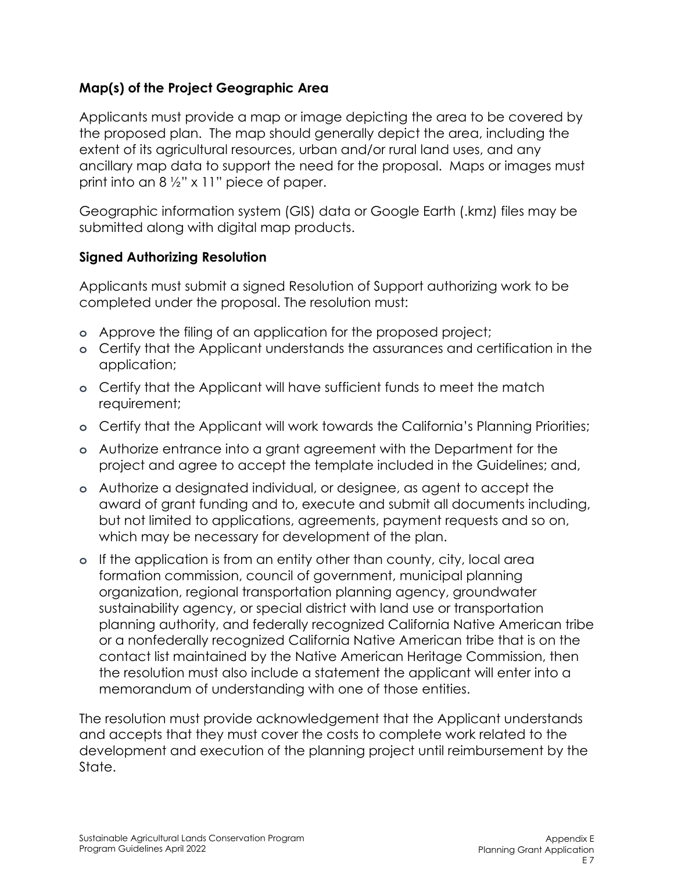# **Map(s) of the Project Geographic Area**

Applicants must provide a map or image depicting the area to be covered by the proposed plan. The map should generally depict the area, including the extent of its agricultural resources, urban and/or rural land uses, and any ancillary map data to support the need for the proposal. Maps or images must print into an  $8\frac{1}{2}$ " x 11" piece of paper.

Geographic information system (GIS) data or Google Earth (.kmz) files may be submitted along with digital map products.

### **Signed Authorizing Resolution**

Applicants must submit a signed Resolution of Support authorizing work to be completed under the proposal. The resolution must:

- **o** Approve the filing of an application for the proposed project;
- **o** Certify that the Applicant understands the assurances and certification in the application;
- **o** Certify that the Applicant will have sufficient funds to meet the match requirement;
- **o** Certify that the Applicant will work towards the California's Planning Priorities;
- **o** Authorize entrance into a grant agreement with the Department for the project and agree to accept the template included in the Guidelines; and,
- **o** Authorize a designated individual, or designee, as agent to accept the award of grant funding and to, execute and submit all documents including, but not limited to applications, agreements, payment requests and so on, which may be necessary for development of the plan.
- **o** If the application is from an entity other than county, city, local area formation commission, council of government, municipal planning organization, regional transportation planning agency, groundwater sustainability agency, or special district with land use or transportation planning authority, and federally recognized California Native American tribe or a nonfederally recognized California Native American tribe that is on the contact list maintained by the Native American Heritage Commission, then the resolution must also include a statement the applicant will enter into a memorandum of understanding with one of those entities.

The resolution must provide acknowledgement that the Applicant understands and accepts that they must cover the costs to complete work related to the development and execution of the planning project until reimbursement by the State.